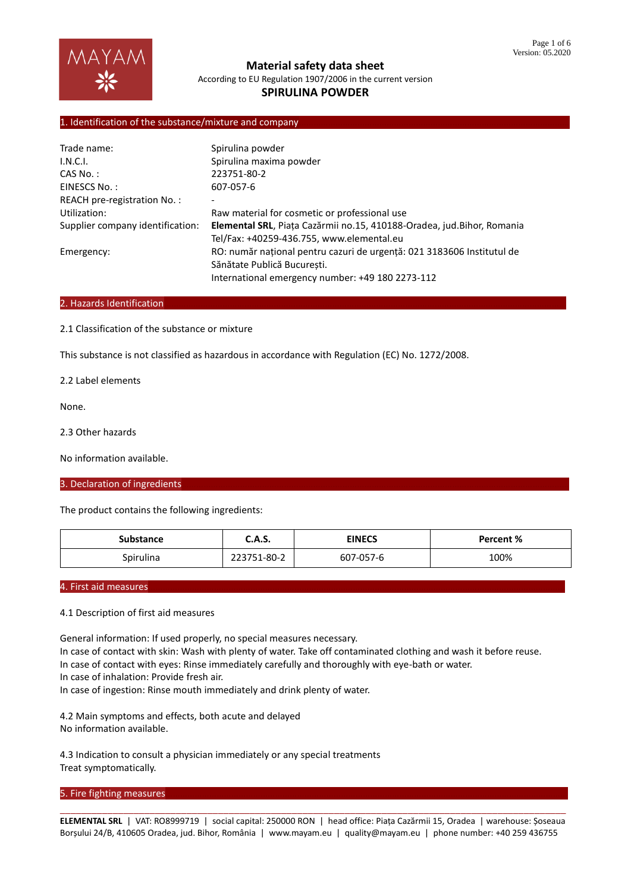

**Material safety data sheet** According to EU Regulation 1907/2006 in the current version

# **SPIRULINA POWDER**

## 1. Identification of the substance/mixture and company

| Trade name:                      | Spirulina powder                                                       |  |  |
|----------------------------------|------------------------------------------------------------------------|--|--|
| I.N.C.I.                         | Spirulina maxima powder                                                |  |  |
| CAS No.:                         | 223751-80-2                                                            |  |  |
| EINESCS No.:                     | 607-057-6                                                              |  |  |
| REACH pre-registration No.:      | ٠                                                                      |  |  |
| Utilization:                     | Raw material for cosmetic or professional use                          |  |  |
| Supplier company identification: | Elemental SRL, Piața Cazărmii no.15, 410188-Oradea, jud.Bihor, Romania |  |  |
|                                  | Tel/Fax: +40259-436.755, www.elemental.eu                              |  |  |
| Emergency:                       | RO: număr national pentru cazuri de urgentă: 021 3183606 Institutul de |  |  |
|                                  | Sănătate Publică Bucuresti.                                            |  |  |
|                                  | International emergency number: +49 180 2273-112                       |  |  |

### 2. Hazards Identification

2.1 Classification of the substance or mixture

This substance is not classified as hazardous in accordance with Regulation (EC) No. 1272/2008.

2.2 Label elements

None.

2.3 Other hazards

No information available.

3. Declaration of ingredients

The product contains the following ingredients:

| Substance | C.A.S.      | <b>EINECS</b> | Percent % |
|-----------|-------------|---------------|-----------|
| Spirulina | 223751-80-2 | 607-057-6     | 100%      |

# 4. First aid measures

#### 4.1 Description of first aid measures

General information: If used properly, no special measures necessary. In case of contact with skin: Wash with plenty of water. Take off contaminated clothing and wash it before reuse. In case of contact with eyes: Rinse immediately carefully and thoroughly with eye-bath or water. In case of inhalation: Provide fresh air. In case of ingestion: Rinse mouth immediately and drink plenty of water. 4.2 Main symptoms and effects, both acute and delayed

No information available.

4.3 Indication to consult a physician immediately or any special treatments Treat symptomatically.

### 5. Fire fighting measures

\_\_\_\_\_\_\_\_\_\_\_\_\_\_\_\_\_\_\_\_\_\_\_\_\_\_\_\_\_\_\_\_\_\_\_\_\_\_\_\_\_\_\_\_\_\_\_\_\_\_\_\_\_\_\_\_\_\_\_\_\_\_\_\_\_\_\_\_\_\_\_\_\_\_\_\_\_\_\_\_\_\_\_\_\_\_\_\_\_\_\_\_\_\_\_\_ **ELEMENTAL SRL** | VAT: RO8999719 | social capital: 250000 RON | head office: Piața Cazărmii 15, Oradea | warehouse: Șoseaua Borșului 24/B, 410605 Oradea, jud. Bihor, România | www.mayam.eu | quality@mayam.eu | phone number: +40 259 436755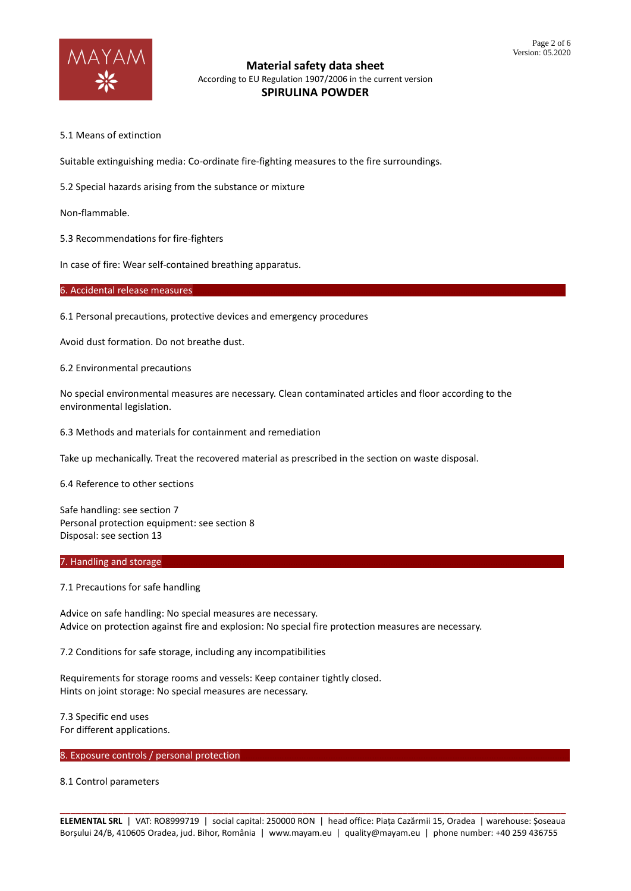

## **Material safety data sheet** According to EU Regulation 1907/2006 in the current version **SPIRULINA POWDER**

5.1 Means of extinction

Suitable extinguishing media: Co-ordinate fire-fighting measures to the fire surroundings.

5.2 Special hazards arising from the substance or mixture

Non-flammable.

5.3 Recommendations for fire-fighters

In case of fire: Wear self-contained breathing apparatus.

6. Accidental release measures

6.1 Personal precautions, protective devices and emergency procedures

Avoid dust formation. Do not breathe dust.

6.2 Environmental precautions

No special environmental measures are necessary. Clean contaminated articles and floor according to the environmental legislation.

6.3 Methods and materials for containment and remediation

Take up mechanically. Treat the recovered material as prescribed in the section on waste disposal.

6.4 Reference to other sections

Safe handling: see section 7 Personal protection equipment: see section 8 Disposal: see section 13

### 7. Handling and storage

7.1 Precautions for safe handling

Advice on safe handling: No special measures are necessary. Advice on protection against fire and explosion: No special fire protection measures are necessary.

7.2 Conditions for safe storage, including any incompatibilities

Requirements for storage rooms and vessels: Keep container tightly closed. Hints on joint storage: No special measures are necessary.

7.3 Specific end uses For different applications.

### 8. Exposure controls / personal protection

8.1 Control parameters

\_\_\_\_\_\_\_\_\_\_\_\_\_\_\_\_\_\_\_\_\_\_\_\_\_\_\_\_\_\_\_\_\_\_\_\_\_\_\_\_\_\_\_\_\_\_\_\_\_\_\_\_\_\_\_\_\_\_\_\_\_\_\_\_\_\_\_\_\_\_\_\_\_\_\_\_\_\_\_\_\_\_\_\_\_\_\_\_\_\_\_\_\_\_\_\_ **ELEMENTAL SRL** | VAT: RO8999719 | social capital: 250000 RON | head office: Piața Cazărmii 15, Oradea | warehouse: Șoseaua Borșului 24/B, 410605 Oradea, jud. Bihor, România | www.mayam.eu | quality@mayam.eu | phone number: +40 259 436755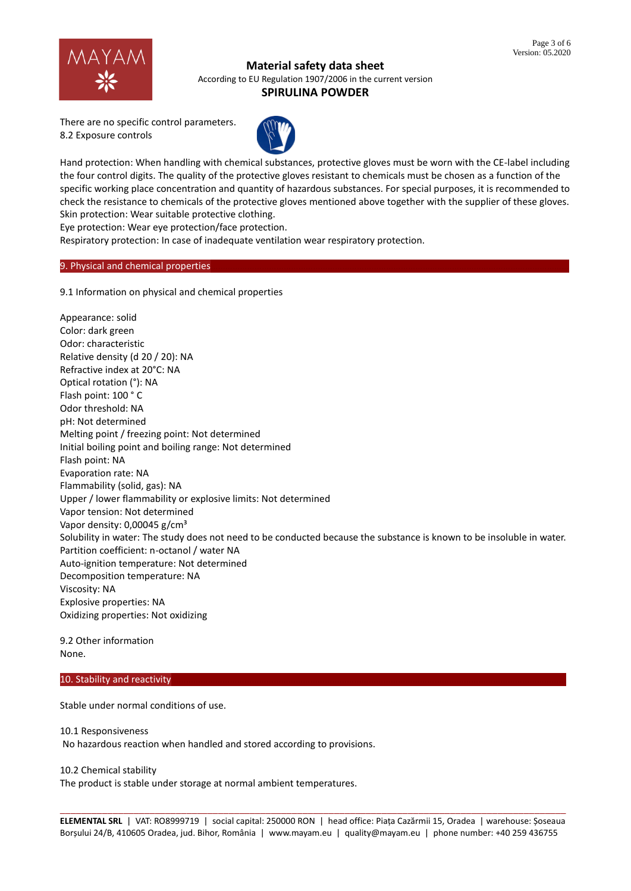

### **Material safety data sheet**

According to EU Regulation 1907/2006 in the current version

# **SPIRULINA POWDER**

There are no specific control parameters. 8.2 Exposure controls



Hand protection: When handling with chemical substances, protective gloves must be worn with the CE-label including the four control digits. The quality of the protective gloves resistant to chemicals must be chosen as a function of the specific working place concentration and quantity of hazardous substances. For special purposes, it is recommended to check the resistance to chemicals of the protective gloves mentioned above together with the supplier of these gloves. Skin protection: Wear suitable protective clothing.

Eye protection: Wear eye protection/face protection.

Respiratory protection: In case of inadequate ventilation wear respiratory protection.

### 9. Physical and chemical properties

9.1 Information on physical and chemical properties

Appearance: solid Color: dark green Odor: characteristic Relative density (d 20 / 20): NA Refractive index at 20°C: NA Optical rotation (°): NA Flash point: 100 ° C Odor threshold: NA pH: Not determined Melting point / freezing point: Not determined Initial boiling point and boiling range: Not determined Flash point: NA Evaporation rate: NA Flammability (solid, gas): NA Upper / lower flammability or explosive limits: Not determined Vapor tension: Not determined Vapor density: 0,00045 g/cm<sup>3</sup> Solubility in water: The study does not need to be conducted because the substance is known to be insoluble in water. Partition coefficient: n-octanol / water NA Auto-ignition temperature: Not determined Decomposition temperature: NA Viscosity: NA Explosive properties: NA Oxidizing properties: Not oxidizing

9.2 Other information None.

10. Stability and reactivity

Stable under normal conditions of use.

10.1 Responsiveness No hazardous reaction when handled and stored according to provisions.

10.2 Chemical stability

The product is stable under storage at normal ambient temperatures.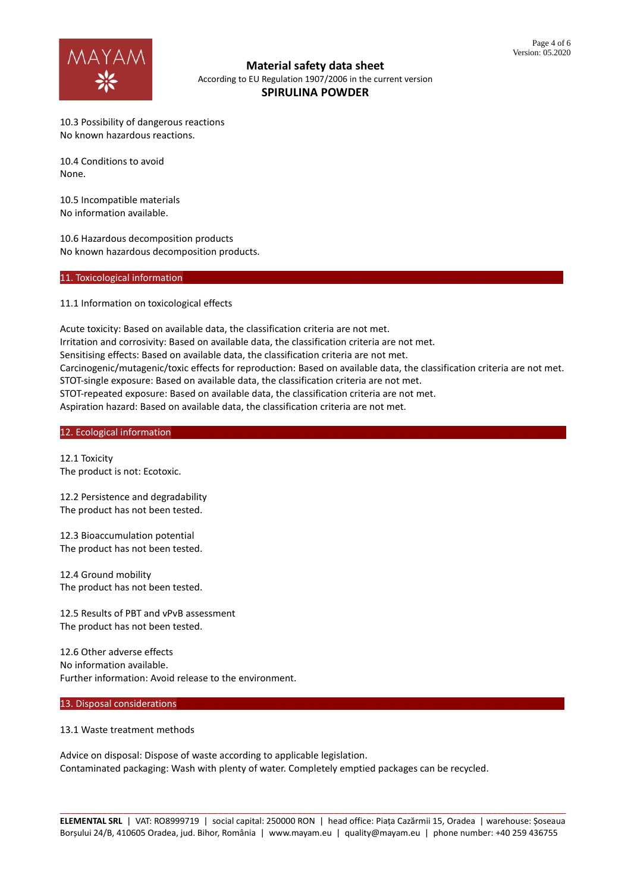

**Material safety data sheet** According to EU Regulation 1907/2006 in the current version **SPIRULINA POWDER**

10.3 Possibility of dangerous reactions No known hazardous reactions.

10.4 Conditions to avoid None.

10.5 Incompatible materials No information available.

10.6 Hazardous decomposition products No known hazardous decomposition products.

## 11. Toxicological information

11.1 Information on toxicological effects

Acute toxicity: Based on available data, the classification criteria are not met. Irritation and corrosivity: Based on available data, the classification criteria are not met. Sensitising effects: Based on available data, the classification criteria are not met. Carcinogenic/mutagenic/toxic effects for reproduction: Based on available data, the classification criteria are not met. STOT-single exposure: Based on available data, the classification criteria are not met. STOT-repeated exposure: Based on available data, the classification criteria are not met. Aspiration hazard: Based on available data, the classification criteria are not met.

12. Ecological information

12.1 Toxicity The product is not: Ecotoxic.

12.2 Persistence and degradability The product has not been tested.

12.3 Bioaccumulation potential The product has not been tested.

12.4 Ground mobility The product has not been tested.

12.5 Results of PBT and vPvB assessment The product has not been tested.

12.6 Other adverse effects No information available. Further information: Avoid release to the environment.

#### 13. Disposal considerations

### 13.1 Waste treatment methods

Advice on disposal: Dispose of waste according to applicable legislation. Contaminated packaging: Wash with plenty of water. Completely emptied packages can be recycled.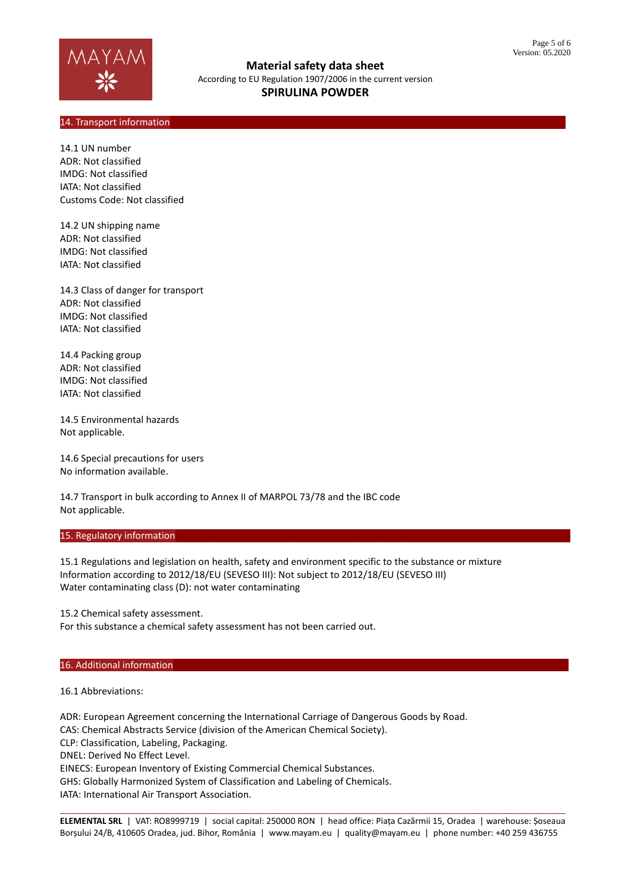

**Material safety data sheet** According to EU Regulation 1907/2006 in the current version **SPIRULINA POWDER**

# 14. Transport information

14.1 UN number ADR: Not classified IMDG: Not classified IATA: Not classified Customs Code: Not classified

14.2 UN shipping name ADR: Not classified IMDG: Not classified IATA: Not classified

14.3 Class of danger for transport ADR: Not classified IMDG: Not classified IATA: Not classified

14.4 Packing group ADR: Not classified IMDG: Not classified IATA: Not classified

14.5 Environmental hazards Not applicable.

14.6 Special precautions for users No information available.

14.7 Transport in bulk according to Annex II of MARPOL 73/78 and the IBC code Not applicable.

### 15. Regulatory information

15.1 Regulations and legislation on health, safety and environment specific to the substance or mixture Information according to 2012/18/EU (SEVESO III): Not subject to 2012/18/EU (SEVESO III) Water contaminating class (D): not water contaminating

15.2 Chemical safety assessment.

For this substance a chemical safety assessment has not been carried out.

### 16. Additional information

16.1 Abbreviations:

ADR: European Agreement concerning the International Carriage of Dangerous Goods by Road. CAS: Chemical Abstracts Service (division of the American Chemical Society). CLP: Classification, Labeling, Packaging. DNEL: Derived No Effect Level. EINECS: European Inventory of Existing Commercial Chemical Substances. GHS: Globally Harmonized System of Classification and Labeling of Chemicals. IATA: International Air Transport Association.

\_\_\_\_\_\_\_\_\_\_\_\_\_\_\_\_\_\_\_\_\_\_\_\_\_\_\_\_\_\_\_\_\_\_\_\_\_\_\_\_\_\_\_\_\_\_\_\_\_\_\_\_\_\_\_\_\_\_\_\_\_\_\_\_\_\_\_\_\_\_\_\_\_\_\_\_\_\_\_\_\_\_\_\_\_\_\_\_\_\_\_\_\_\_\_\_ **ELEMENTAL SRL** | VAT: RO8999719 | social capital: 250000 RON | head office: Piața Cazărmii 15, Oradea | warehouse: Șoseaua Borșului 24/B, 410605 Oradea, jud. Bihor, România | www.mayam.eu | quality@mayam.eu | phone number: +40 259 436755